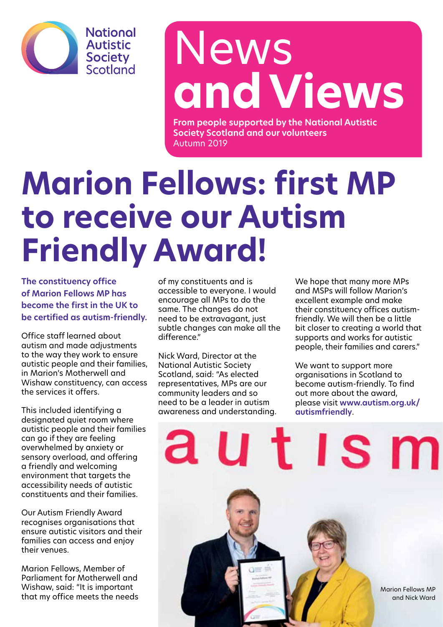

## News **and Views**

**From people supported by the National Autistic Society Scotland and our volunteers** Autumn 2019

## **Marion Fellows: first MP to receive our Autism Friendly Award!**

**The constituency office of Marion Fellows MP has become the first in the UK to be certified as autism-friendly.** 

Office staff learned about autism and made adjustments to the way they work to ensure autistic people and their families, in Marion's Motherwell and Wishaw constituency, can access the services it offers.

This included identifying a designated quiet room where autistic people and their families can go if they are feeling overwhelmed by anxiety or sensory overload, and offering a friendly and welcoming environment that targets the accessibility needs of autistic constituents and their families.

Our Autism Friendly Award recognises organisations that ensure autistic visitors and their families can access and enjoy their venues.

Marion Fellows, Member of Parliament for Motherwell and Wishaw, said: "It is important that my office meets the needs of my constituents and is accessible to everyone. I would encourage all MPs to do the same. The changes do not need to be extravagant, just subtle changes can make all the difference."

Nick Ward, Director at the National Autistic Society Scotland, said: "As elected representatives, MPs are our community leaders and so need to be a leader in autism awareness and understanding. We hope that many more MPs and MSPs will follow Marion's excellent example and make their constituency offices autismfriendly. We will then be a little bit closer to creating a world that supports and works for autistic people, their families and carers."

We want to support more organisations in Scotland to become autism-friendly. To find out more about the award, please visit **www.autism.org.uk/ autismfriendly**.

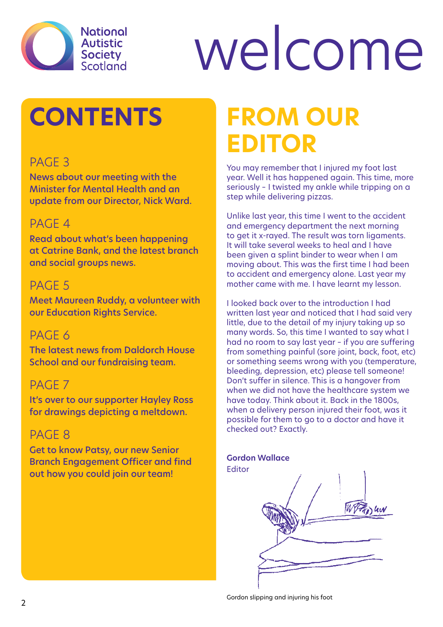

# welcome

## **CONTENTS**

#### PAGE<sub>3</sub>

News about our meeting with the Minister for Mental Health and an update from our Director, Nick Ward.

#### PAGE 4

Read about what's been happening at Catrine Bank, and the latest branch and social groups news.

#### PAGE<sub>5</sub>

Meet Maureen Ruddy, a volunteer with our Education Rights Service.

#### PAGE 6

The latest news from Daldorch House School and our fundraising team.

#### PAGE<sub>7</sub>

It's over to our supporter Hayley Ross for drawings depicting a meltdown.

#### PAGE<sub>8</sub>

Get to know Patsy, our new Senior Branch Engagement Officer and find out how you could join our team!

## **From our Editor**

You may remember that I injured my foot last year. Well it has happened again. This time, more seriously – I twisted my ankle while tripping on a step while delivering pizzas.

Unlike last year, this time I went to the accident and emergency department the next morning to get it x-rayed. The result was torn ligaments. It will take several weeks to heal and I have been given a splint binder to wear when I am moving about. This was the first time I had been to accident and emergency alone. Last year my mother came with me. I have learnt my lesson.

I looked back over to the introduction I had written last year and noticed that I had said very little, due to the detail of my injury taking up so many words. So, this time I wanted to say what I had no room to say last year – if you are suffering from something painful (sore joint, back, foot, etc) or something seems wrong with you (temperature, bleeding, depression, etc) please tell someone! Don't suffer in silence. This is a hangover from when we did not have the healthcare system we have today. Think about it. Back in the 1800s, when a delivery person injured their foot, was it possible for them to go to a doctor and have it checked out? Exactly.

#### **Gordon Wallace**

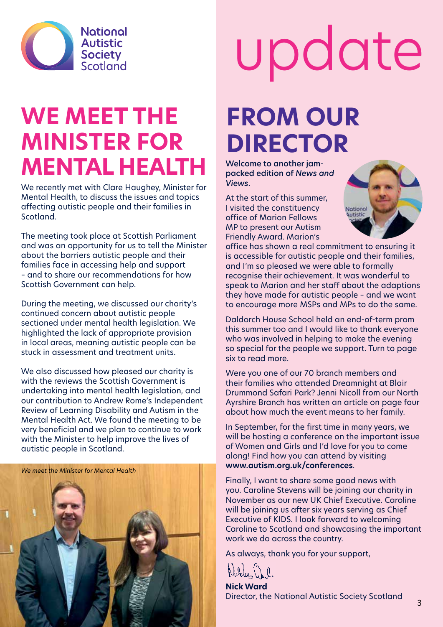

### **WE MEET THE Minister for Mental Health**

We recently met with Clare Haughey, Minister for Mental Health, to discuss the issues and topics affecting autistic people and their families in Scotland.

The meeting took place at Scottish Parliament and was an opportunity for us to tell the Minister about the barriers autistic people and their families face in accessing help and support – and to share our recommendations for how Scottish Government can help.

During the meeting, we discussed our charity's continued concern about autistic people sectioned under mental health legislation. We highlighted the lack of appropriate provision in local areas, meaning autistic people can be stuck in assessment and treatment units.

We also discussed how pleased our charity is with the reviews the Scottish Government is undertaking into mental health legislation, and our contribution to Andrew Rome's Independent Review of Learning Disability and Autism in the Mental Health Act. We found the meeting to be very beneficial and we plan to continue to work with the Minister to help improve the lives of autistic people in Scotland.



# update

### **From our Director**

Welcome to another jampacked edition of *News and Views*.

At the start of this summer, I visited the constituency office of Marion Fellows MP to present our Autism Friendly Award. Marion's



office has shown a real commitment to ensuring it is accessible for autistic people and their families, and I'm so pleased we were able to formally recognise their achievement. It was wonderful to speak to Marion and her staff about the adaptions they have made for autistic people – and we want to encourage more MSPs and MPs to do the same.

Daldorch House School held an end-of-term prom this summer too and I would like to thank everyone who was involved in helping to make the evening so special for the people we support. Turn to page six to read more.

Were you one of our 70 branch members and their families who attended Dreamnight at Blair Drummond Safari Park? Jenni Nicoll from our North Ayrshire Branch has written an article on page four about how much the event means to her family.

In September, for the first time in many years, we will be hosting a conference on the important issue of Women and Girls and I'd love for you to come along! Find how you can attend by visiting **www.autism.org.uk/conferences**.

Finally, I want to share some good news with you. Caroline Stevens will be joining our charity in November as our new UK Chief Executive. Caroline will be joining us after six years serving as Chief Executive of KIDS. I look forward to welcoming Caroline to Scotland and showcasing the important work we do across the country.

As always, thank you for your support,

**Nick Ward** Director, the National Autistic Society Scotland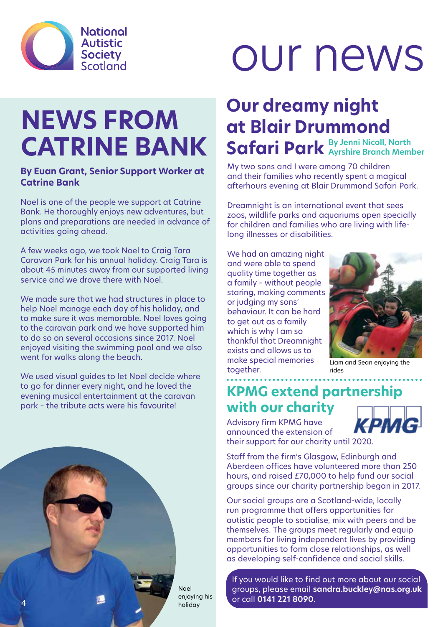

## our news

## **NEWS FROM CATRINE BANK**

#### **By Euan Grant, Senior Support Worker at Catrine Bank**

Noel is one of the people we support at Catrine Bank. He thoroughly enjoys new adventures, but plans and preparations are needed in advance of activities going ahead.

A few weeks ago, we took Noel to Craig Tara Caravan Park for his annual holiday. Craig Tara is about 45 minutes away from our supported living service and we drove there with Noel.

We made sure that we had structures in place to help Noel manage each day of his holiday, and to make sure it was memorable. Noel loves going to the caravan park and we have supported him to do so on several occasions since 2017. Noel enjoyed visiting the swimming pool and we also went for walks along the beach.

We used visual guides to let Noel decide where to go for dinner every night, and he loved the evening musical entertainment at the caravan park – the tribute acts were his favourite!



My two sons and I were among 70 children and their families who recently spent a magical afterhours evening at Blair Drummond Safari Park.

Dreamnight is an international event that sees zoos, wildlife parks and aquariums open specially for children and families who are living with lifelong illnesses or disabilities.

We had an amazing night and were able to spend quality time together as a family – without people staring, making comments or judging my sons' behaviour. It can be hard to get out as a family which is why I am so thankful that Dreamnight exists and allows us to make special memories together.



Liam and Sean enjoying the rides

#### **KPMG extend partnership with our charity**

Advisory firm KPMG have announced the extension of



their support for our charity until 2020. Staff from the firm's Glasgow, Edinburgh and

Aberdeen offices have volunteered more than 250 hours, and raised £70,000 to help fund our social groups since our charity partnership began in 2017.

Our social groups are a Scotland-wide, locally run programme that offers opportunities for autistic people to socialise, mix with peers and be themselves. The groups meet regularly and equip members for living independent lives by providing opportunities to form close relationships, as well as developing self-confidence and social skills.

If you would like to find out more about our social groups, please email **sandra.buckley@nas.org.uk** or call **0141 221 8090**.



enjoying his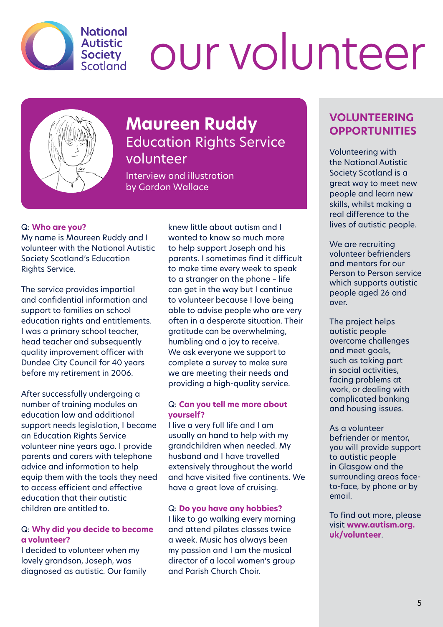

## our volunteer



#### **Maureen Ruddy** Education Rights Service volunteer

Interview and illustration by Gordon Wallace

#### Q: **Who are you?**

My name is Maureen Ruddy and I volunteer with the National Autistic Society Scotland's Education Rights Service.

The service provides impartial and confidential information and support to families on school education rights and entitlements. I was a primary school teacher, head teacher and subsequently quality improvement officer with Dundee City Council for 40 years before my retirement in 2006.

After successfully undergoing a number of training modules on education law and additional support needs legislation, I became an Education Rights Service volunteer nine years ago. I provide parents and carers with telephone advice and information to help equip them with the tools they need to access efficient and effective education that their autistic children are entitled to.

#### Q: **Why did you decide to become a volunteer?**

I decided to volunteer when my lovely grandson, Joseph, was diagnosed as autistic. Our family knew little about autism and I wanted to know so much more to help support Joseph and his parents. I sometimes find it difficult to make time every week to speak to a stranger on the phone – life can get in the way but I continue to volunteer because I love being able to advise people who are very often in a desperate situation. Their gratitude can be overwhelming, humbling and a joy to receive. We ask everyone we support to complete a survey to make sure we are meeting their needs and providing a high-quality service.

#### Q: **Can you tell me more about yourself?**

I live a very full life and I am usually on hand to help with my grandchildren when needed. My husband and I have travelled extensively throughout the world and have visited five continents. We have a great love of cruising.

#### Q: **Do you have any hobbies?**

I like to go walking every morning and attend pilates classes twice a week. Music has always been my passion and I am the musical director of a local women's group and Parish Church Choir.

#### **VOLUNTEERING OPPORTUNITIES**

Volunteering with the National Autistic Society Scotland is a great way to meet new people and learn new skills, whilst making a real difference to the lives of autistic people.

We are recruiting volunteer befrienders and mentors for our Person to Person service which supports autistic people aged 26 and over.

The project helps autistic people overcome challenges and meet goals, such as taking part in social activities, facing problems at work, or dealing with complicated banking and housing issues.

As a volunteer befriender or mentor, you will provide support to autistic people in Glasgow and the surrounding areas faceto-face, by phone or by email.

To find out more, please visit **www.autism.org. uk/volunteer**.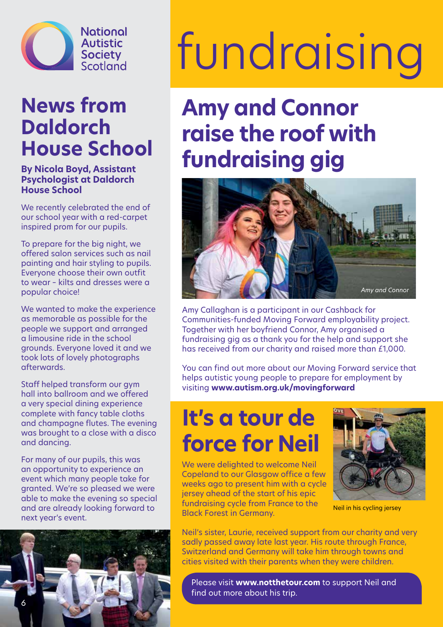

### **News from Daldorch House School**

#### **By Nicola Boyd, Assistant Psychologist at Daldorch House School**

We recently celebrated the end of our school year with a red-carpet inspired prom for our pupils.

To prepare for the big night, we offered salon services such as nail painting and hair styling to pupils. Everyone choose their own outfit to wear – kilts and dresses were a popular choice!

We wanted to make the experience as memorable as possible for the people we support and arranged a limousine ride in the school grounds. Everyone loved it and we took lots of lovely photographs afterwards.

Staff helped transform our gym hall into ballroom and we offered a very special dining experience complete with fancy table cloths and champagne flutes. The evening was brought to a close with a disco and dancing.

For many of our pupils, this was an opportunity to experience an event which many people take for granted. We're so pleased we were able to make the evening so special and are already looking forward to next year's event.



# fundraising

### **Amy and Connor raise the roof with fundraising gig**



Amy Callaghan is a participant in our Cashback for Communities-funded Moving Forward employability project. Together with her boyfriend Connor, Amy organised a fundraising gig as a thank you for the help and support she has received from our charity and raised more than £1,000.

You can find out more about our Moving Forward service that helps autistic young people to prepare for employment by visiting **www.autism.org.uk/movingforward** 

### **It's a tour de force for Neil**

We were delighted to welcome Neil Copeland to our Glasgow office a few weeks ago to present him with a cycle jersey ahead of the start of his epic fundraising cycle from France to the Black Forest in Germany.



Neil in his cycling jersey

Neil's sister, Laurie, received support from our charity and very sadly passed away late last year. His route through France, Switzerland and Germany will take him through towns and cities visited with their parents when they were children.

Please visit **www.notthetour.com** to support Neil and find out more about his trip.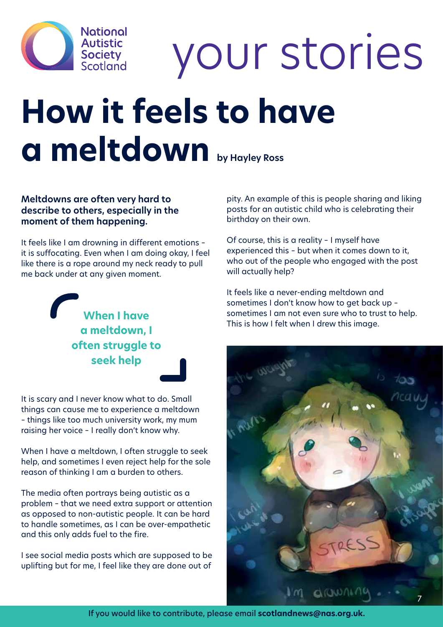

your stories

## **How it feels to have a meltdown by Hayley Ross**

#### **Meltdowns are often very hard to describe to others, especially in the moment of them happening.**

It feels like I am drowning in different emotions – it is suffocating. Even when I am doing okay, I feel like there is a rope around my neck ready to pull me back under at any given moment.

> **When I have a meltdown, I often struggle to seek help**

It is scary and I never know what to do. Small things can cause me to experience a meltdown – things like too much university work, my mum raising her voice – I really don't know why.

When I have a meltdown, I often struggle to seek help, and sometimes I even reject help for the sole reason of thinking I am a burden to others.

The media often portrays being autistic as a problem – that we need extra support or attention as opposed to non-autistic people. It can be hard to handle sometimes, as I can be over-empathetic and this only adds fuel to the fire.

I see social media posts which are supposed to be uplifting but for me, I feel like they are done out of

pity. An example of this is people sharing and liking posts for an autistic child who is celebrating their birthday on their own.

Of course, this is a reality – I myself have experienced this – but when it comes down to it, who out of the people who engaged with the post will actually help?

It feels like a never-ending meltdown and sometimes I don't know how to get back up – sometimes I am not even sure who to trust to help. This is how I felt when I drew this image.



If you would like to contribute, please email **scotlandnews@nas.org.uk.**